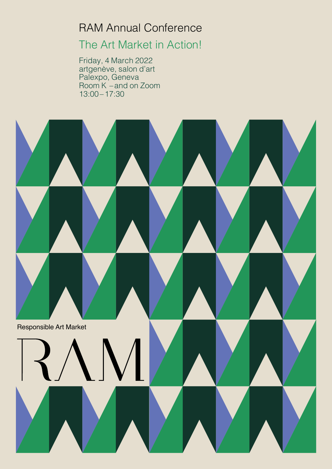# RAM Annual Conference

## The Art Market in Action!

Friday, 4 March 2022 artgenève, salon d'art Palexpo, Geneva Room K –and on Zoom 13:00–17:30

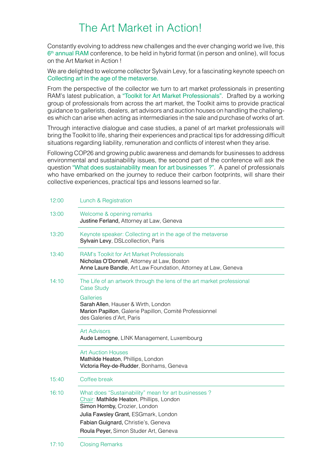### The Art Market in Action!

Constantly evolving to address new challenges and the ever changing world we live, this  $6<sup>th</sup>$  annual RAM conference, to be held in hybrid format (in person and online), will focus on the Art Market in Action !

We are delighted to welcome collector Sylvain Levy, for a fascinating keynote speech on Collecting art in the age of the metaverse.

From the perspective of the collector we turn to art market professionals in presenting RAM's latest publication, a "Toolkit for Art Market Professionals". Drafted by a working group of professionals from across the art market, the Toolkit aims to provide practical guidance to gallerists, dealers, art advisors and auction houses on handling the challenges which can arise when acting as intermediaries in the sale and purchase of works of art.

Through interactive dialogue and case studies, a panel of art market professionals will bring the Toolkit to life, sharing their experiences and practical tips for addressing difficult situations regarding liability, remuneration and conflicts of interest when they arise.

Following COP26 and growing public awareness and demands for businesses to address environmental and sustainability issues, the second part of the conference will ask the question "What does sustainability mean for art businesses ?". A panel of professionals who have embarked on the journey to reduce their carbon footprints, will share their collective experiences, practical tips and lessons learned so far.

| 12:00 | Lunch & Registration                                                                                                                                                                                                                                     |
|-------|----------------------------------------------------------------------------------------------------------------------------------------------------------------------------------------------------------------------------------------------------------|
| 13:00 | Welcome & opening remarks<br>Justine Ferland, Attorney at Law, Geneva                                                                                                                                                                                    |
| 13:20 | Keynote speaker: Collecting art in the age of the metaverse<br>Sylvain Levy, DSLcollection, Paris                                                                                                                                                        |
| 13:40 | <b>RAM's Toolkit for Art Market Professionals</b><br>Nicholas O'Donnell, Attorney at Law, Boston<br>Anne Laure Bandle, Art Law Foundation, Attorney at Law, Geneva                                                                                       |
| 14:10 | The Life of an artwork through the lens of the art market professional<br><b>Case Study</b>                                                                                                                                                              |
|       | <b>Galleries</b><br>Sarah Allen, Hauser & Wirth, London<br>Marion Papillon, Galerie Papillon, Comité Professionnel<br>des Galeries d'Art, Paris                                                                                                          |
|       | <b>Art Advisors</b><br>Aude Lemogne, LINK Management, Luxembourg                                                                                                                                                                                         |
|       | <b>Art Auction Houses</b><br>Mathilde Heaton, Phillips, London<br>Victoria Rey-de-Rudder, Bonhams, Geneva                                                                                                                                                |
| 15:40 | Coffee break                                                                                                                                                                                                                                             |
| 16:10 | What does "Sustainability" mean for art businesses?<br>Chair: Mathilde Heaton, Phillips, London<br>Simon Hornby, Crozier, London<br>Julia Fawsley Grant, ESGmark, London<br>Fabian Guignard, Christie's, Geneva<br>Roula Peyer, Simon Studer Art, Geneva |
|       |                                                                                                                                                                                                                                                          |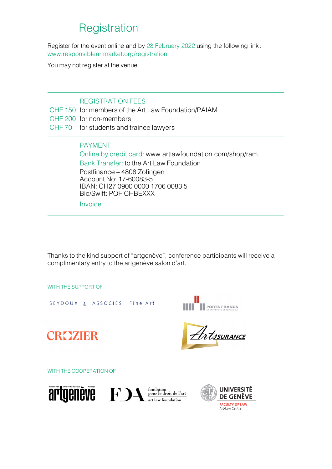### **Registration**

Register for the event online and by 28 February 2022 using the following link : www.responsibleartmarket.org/registration

You may not register at the venue.

#### REGISTRATION FEES

- CHF 150 for members of the Art Law Foundation/PAIAM
- CHF 200 for non-members
- CHF 70 for students and trainee lawyers

#### PAYMENT

Online by credit card: www.artlawfoundation.com/shop/ram Bank Transfer: to the Art Law Foundation Postfinance – 4808 Zofingen Account No: 17-60083-5 IBAN: CH27 0900 0000 1706 0083 5 Bic/Swift: POFICHBEXXX

Invoice

Thanks to the kind support of "artgenève", conference participants will receive a complimentary entry to the artgenève salon d'art.

WITH THE SUPPORT OF

SEYDOUX & ASSOCIÉS Fine Art



Artssurance

CROZIER

WITH THE COOPERATION OF